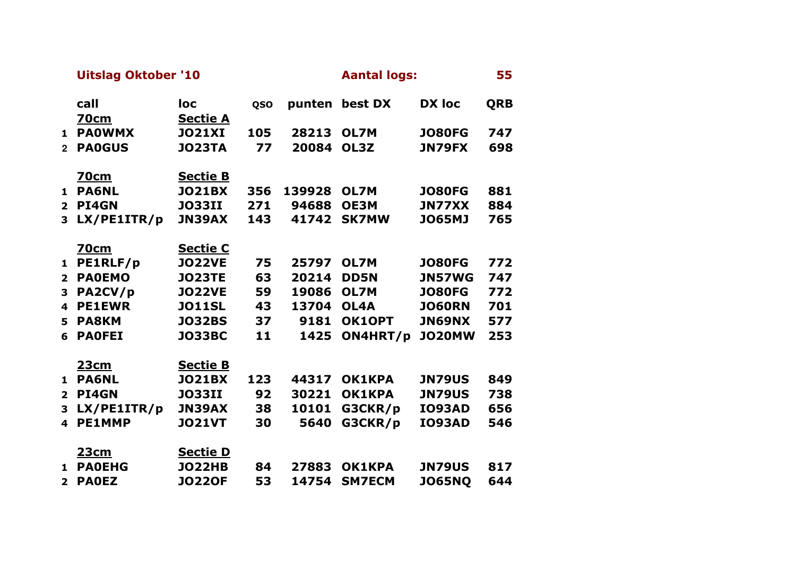|                | <b>Uitslag Oktober '10</b> |                 |            |        | <b>Aantal logs:</b> |               | 55         |  |
|----------------|----------------------------|-----------------|------------|--------|---------------------|---------------|------------|--|
|                | call                       | loc             | <b>QSO</b> | punten | best DX             | <b>DX</b> loc | <b>QRB</b> |  |
|                | <b>70cm</b>                | <b>Sectie A</b> |            |        |                     |               |            |  |
| $\mathbf{1}$   | <b>PAOWMX</b>              | <b>JO21XI</b>   | 105        | 28213  | <b>OL7M</b>         | <b>JO80FG</b> | 747        |  |
| $\overline{2}$ | <b>PAOGUS</b>              | <b>JO23TA</b>   | 77         | 20084  | OL3Z                | <b>JN79FX</b> | 698        |  |
|                | <b>70cm</b>                | <b>Sectie B</b> |            |        |                     |               |            |  |
|                | 1 PA6NL                    | <b>JO21BX</b>   | 356        | 139928 | OL7M                | <b>JO80FG</b> | 881        |  |
| $\mathbf{2}$   | PI4GN                      | <b>JO33II</b>   | 271        | 94688  | <b>OE3M</b>         | JN77XX        | 884        |  |
| 3              | LX/PE1ITR/p                | <b>JN39AX</b>   | 143        | 41742  | <b>SK7MW</b>        | <b>JO65MJ</b> | 765        |  |
|                | <b>70cm</b>                | <b>Sectie C</b> |            |        |                     |               |            |  |
|                | 1 PE1RLF/p                 | <b>JO22VE</b>   | 75         | 25797  | OL7M                | <b>JO80FG</b> | 772        |  |
| $\overline{2}$ | <b>PAOEMO</b>              | <b>JO23TE</b>   | 63         | 20214  | <b>DD5N</b>         | <b>JN57WG</b> | 747        |  |
| 3              | PA2CV/p                    | <b>JO22VE</b>   | 59         | 19086  | OL7M                | <b>JO80FG</b> | 772        |  |
| 4              | <b>PE1EWR</b>              | <b>JO11SL</b>   | 43         | 13704  | OL4A                | <b>JO60RN</b> | 701        |  |
| 5              | <b>PA8KM</b>               | <b>JO32BS</b>   | 37         | 9181   | OK1OPT              | JN69NX        | 577        |  |
| 6              | <b>PAOFEI</b>              | <b>JO33BC</b>   | 11         | 1425   | ON4HRT/p            | <b>JO20MW</b> | 253        |  |
|                | <b>23cm</b>                | <b>Sectie B</b> |            |        |                     |               |            |  |
| $\mathbf{1}$   | <b>PA6NL</b>               | <b>JO21BX</b>   | 123        | 44317  | <b>OK1KPA</b>       | <b>JN79US</b> | 849        |  |
| $\overline{2}$ | PI4GN                      | <b>JO33II</b>   | 92         | 30221  | <b>OK1KPA</b>       | <b>JN79US</b> | 738        |  |
| 3              | LX/PE1ITR/p                | <b>JN39AX</b>   | 38         | 10101  | G3CKR/p             | <b>IO93AD</b> | 656        |  |
| 4              | <b>PE1MMP</b>              | <b>JO21VT</b>   | 30         | 5640   | G3CKR/p             | <b>IO93AD</b> | 546        |  |
|                | <u>23cm</u>                | <b>Sectie D</b> |            |        |                     |               |            |  |
| $\mathbf 1$    | <b>PAOEHG</b>              | <b>JO22HB</b>   | 84         | 27883  | <b>OK1KPA</b>       | <b>JN79US</b> | 817        |  |
| 2 <sup>1</sup> | <b>PAOEZ</b>               | <b>JO220F</b>   | 53         | 14754  | <b>SM7ECM</b>       | <b>JO65NO</b> | 644        |  |
|                |                            |                 |            |        |                     |               |            |  |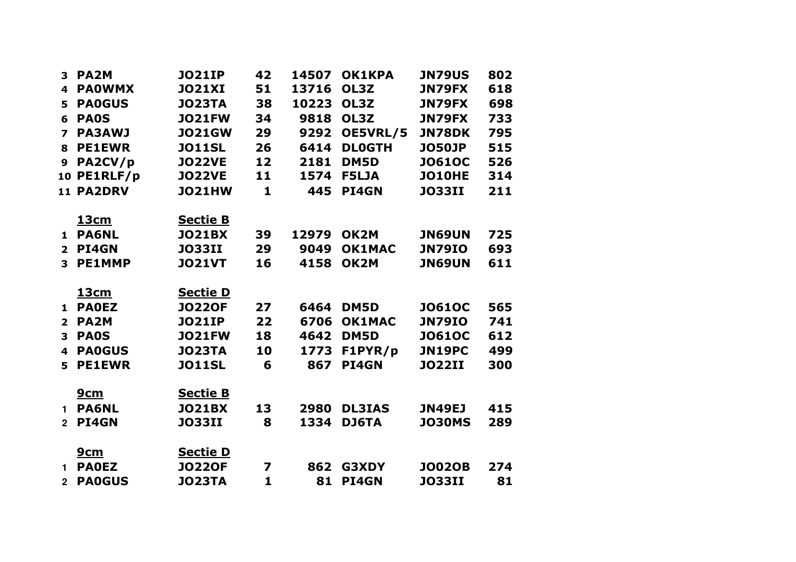| $\mathbf{3}$            | PA <sub>2</sub> M  | <b>JO21IP</b>   | 42           | 14507 | <b>OK1KPA</b>     | <b>JN79US</b> | 802 |
|-------------------------|--------------------|-----------------|--------------|-------|-------------------|---------------|-----|
| $\overline{\mathbf{4}}$ | <b>PAOWMX</b>      | <b>JO21XI</b>   | 51           | 13716 | OL3Z              | <b>JN79FX</b> | 618 |
| 5                       | <b>PAOGUS</b>      | <b>JO23TA</b>   | 38           | 10223 | OL3Z              | <b>JN79FX</b> | 698 |
| 6                       | <b>PA0S</b>        | <b>JO21FW</b>   | 34           | 9818  | OL3Z              | <b>JN79FX</b> | 733 |
| $\overline{ }$          | <b>PA3AWJ</b>      | <b>JO21GW</b>   | 29           | 9292  | OE5VRL/5          | <b>JN78DK</b> | 795 |
| 8                       | <b>PE1EWR</b>      | <b>JO11SL</b>   | 26           | 6414  | <b>DLOGTH</b>     | <b>JO50JP</b> | 515 |
| 9                       | PA2CV/p            | <b>JO22VE</b>   | 12           | 2181  | DM5D              | <b>JO61OC</b> | 526 |
|                         | <b>10 PE1RLF/p</b> | <b>JO22VE</b>   | 11           | 1574  | <b>F5LJA</b>      | <b>JO10HE</b> | 314 |
|                         | <b>11 PA2DRV</b>   | <b>JO21HW</b>   | $\mathbf{1}$ | 445   | PI4GN             | <b>JO33II</b> | 211 |
|                         |                    |                 |              |       |                   |               |     |
|                         | <u>13cm</u>        | <b>Sectie B</b> |              |       |                   |               |     |
|                         | 1 PA6NL            | <b>JO21BX</b>   | 39           | 12979 | OK <sub>2</sub> M | <b>JN69UN</b> | 725 |
| $\overline{2}$          | PI4GN              | <b>JO33II</b>   | 29           | 9049  | <b>OK1MAC</b>     | <b>JN79IO</b> | 693 |
| $\mathbf{3}$            | <b>PE1MMP</b>      | <b>JO21VT</b>   | 16           | 4158  | OK2M              | <b>JN69UN</b> | 611 |
|                         |                    |                 |              |       |                   |               |     |
|                         | <u>13cm</u>        | <b>Sectie D</b> |              |       |                   |               |     |
|                         | 1 PAOEZ            | <b>JO220F</b>   | 27           | 6464  | DM5D              | <b>JO61OC</b> | 565 |
| $2^{\circ}$             | <b>PA2M</b>        | <b>JO21IP</b>   | 22           | 6706  | <b>OK1MAC</b>     | <b>JN79IO</b> | 741 |
| $\overline{\mathbf{3}}$ | <b>PA0S</b>        | <b>JO21FW</b>   | 18           | 4642  | DM5D              | <b>JO61OC</b> | 612 |
| 4                       | <b>PAOGUS</b>      | <b>JO23TA</b>   | 10           | 1773  | F1PYR/p           | <b>JN19PC</b> | 499 |
| 5.                      | <b>PE1EWR</b>      | <b>JO11SL</b>   | 6            | 867   | PI4GN             | <b>JO22II</b> | 300 |
|                         |                    |                 |              |       |                   |               |     |
|                         | <u>9cm</u>         | <b>Sectie B</b> |              |       |                   |               |     |
| $\mathbf 1$             | <b>PA6NL</b>       | <b>JO21BX</b>   | 13           | 2980  | <b>DL3IAS</b>     | <b>JN49EJ</b> | 415 |
| $\overline{2}$          | PI4GN              | <b>JO33II</b>   | 8            | 1334  | DJ6TA             | <b>JO30MS</b> | 289 |
|                         |                    |                 |              |       |                   |               |     |
|                         | <u>9cm</u>         | <b>Sectie D</b> |              |       |                   |               |     |
| $\mathbf 1$             | <b>PAOEZ</b>       | <b>JO220F</b>   | 7            | 862   | G3XDY             | <b>JO02OB</b> | 274 |
| $2^{\circ}$             | <b>PAOGUS</b>      | <b>JO23TA</b>   | $\mathbf{1}$ | 81    | PI4GN             | <b>JO33II</b> | 81  |
|                         |                    |                 |              |       |                   |               |     |